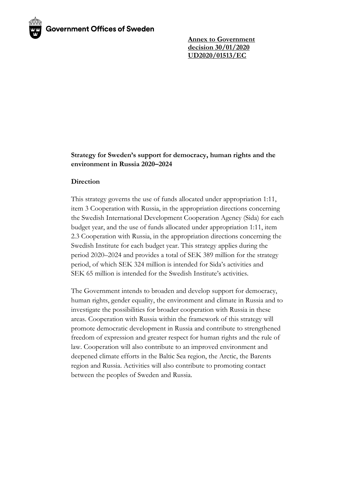**Annex to Government decision 30/01/2020 UD2020/01513/EC**

## **Strategy for Sweden's support for democracy, human rights and the environment in Russia 2020–2024**

### **Direction**

This strategy governs the use of funds allocated under appropriation 1:11, item 3 Cooperation with Russia, in the appropriation directions concerning the Swedish International Development Cooperation Agency (Sida) for each budget year, and the use of funds allocated under appropriation 1:11, item 2.3 Cooperation with Russia, in the appropriation directions concerning the Swedish Institute for each budget year. This strategy applies during the period 2020–2024 and provides a total of SEK 389 million for the strategy period, of which SEK 324 million is intended for Sida's activities and SEK 65 million is intended for the Swedish Institute's activities.

The Government intends to broaden and develop support for democracy, human rights, gender equality, the environment and climate in Russia and to investigate the possibilities for broader cooperation with Russia in these areas. Cooperation with Russia within the framework of this strategy will promote democratic development in Russia and contribute to strengthened freedom of expression and greater respect for human rights and the rule of law. Cooperation will also contribute to an improved environment and deepened climate efforts in the Baltic Sea region, the Arctic, the Barents region and Russia. Activities will also contribute to promoting contact between the peoples of Sweden and Russia.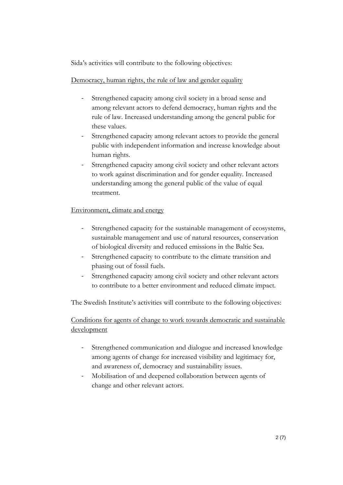Sida's activities will contribute to the following objectives:

# Democracy, human rights, the rule of law and gender equality

- Strengthened capacity among civil society in a broad sense and among relevant actors to defend democracy, human rights and the rule of law. Increased understanding among the general public for these values.
- Strengthened capacity among relevant actors to provide the general public with independent information and increase knowledge about human rights.
- Strengthened capacity among civil society and other relevant actors to work against discrimination and for gender equality. Increased understanding among the general public of the value of equal treatment.

## Environment, climate and energy

- Strengthened capacity for the sustainable management of ecosystems, sustainable management and use of natural resources, conservation of biological diversity and reduced emissions in the Baltic Sea.
- Strengthened capacity to contribute to the climate transition and phasing out of fossil fuels.
- Strengthened capacity among civil society and other relevant actors to contribute to a better environment and reduced climate impact.

The Swedish Institute's activities will contribute to the following objectives:

Conditions for agents of change to work towards democratic and sustainable development

- Strengthened communication and dialogue and increased knowledge among agents of change for increased visibility and legitimacy for, and awareness of, democracy and sustainability issues.
- Mobilisation of and deepened collaboration between agents of change and other relevant actors.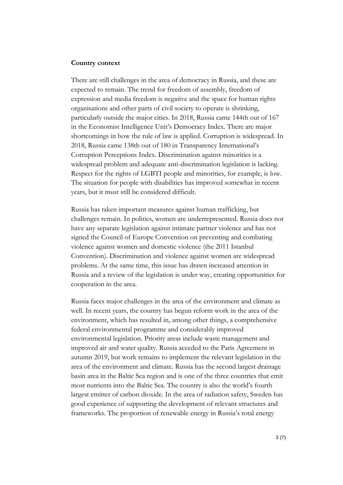#### **Country context**

There are still challenges in the area of democracy in Russia, and these are expected to remain. The trend for freedom of assembly, freedom of expression and media freedom is negative and the space for human rights organisations and other parts of civil society to operate is shrinking, particularly outside the major cities. In 2018, Russia came 144th out of 167 in the Economist Intelligence Unit's Democracy Index. There are major shortcomings in how the rule of law is applied. Corruption is widespread. In 2018, Russia came 138th out of 180 in Transparency International's Corruption Perceptions Index. Discrimination against minorities is a widespread problem and adequate anti-discrimination legislation is lacking. Respect for the rights of LGBTI people and minorities, for example, is low. The situation for people with disabilities has improved somewhat in recent years, but it must still be considered difficult.

Russia has taken important measures against human trafficking, but challenges remain. In politics, women are underrepresented. Russia does not have any separate legislation against intimate partner violence and has not signed the Council of Europe Convention on preventing and combating violence against women and domestic violence (the 2011 Istanbul Convention). Discrimination and violence against women are widespread problems. At the same time, this issue has drawn increased attention in Russia and a review of the legislation is under way, creating opportunities for cooperation in the area.

Russia faces major challenges in the area of the environment and climate as well. In recent years, the country has begun reform work in the area of the environment, which has resulted in, among other things, a comprehensive federal environmental programme and considerably improved environmental legislation. Priority areas include waste management and improved air and water quality. Russia acceded to the Paris Agreement in autumn 2019, but work remains to implement the relevant legislation in the area of the environment and climate. Russia has the second largest drainage basin area in the Baltic Sea region and is one of the three countries that emit most nutrients into the Baltic Sea. The country is also the world's fourth largest emitter of carbon dioxide. In the area of radiation safety, Sweden has good experience of supporting the development of relevant structures and frameworks. The proportion of renewable energy in Russia's total energy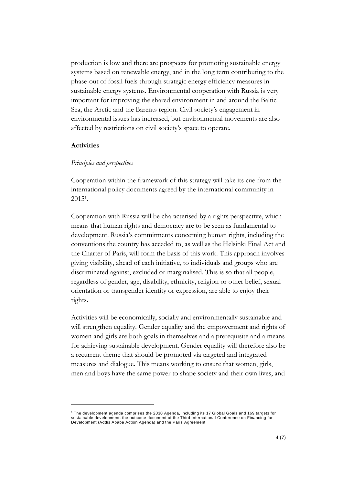production is low and there are prospects for promoting sustainable energy systems based on renewable energy, and in the long term contributing to the phase-out of fossil fuels through strategic energy efficiency measures in sustainable energy systems. Environmental cooperation with Russia is very important for improving the shared environment in and around the Baltic Sea, the Arctic and the Barents region. Civil society's engagement in environmental issues has increased, but environmental movements are also affected by restrictions on civil society's space to operate.

#### **Activities**

#### *Principles and perspectives*

Cooperation within the framework of this strategy will take its cue from the international policy documents agreed by the international community in 2015<sup>1</sup> .

Cooperation with Russia will be characterised by a rights perspective, which means that human rights and democracy are to be seen as fundamental to development. Russia's commitments concerning human rights, including the conventions the country has acceded to, as well as the Helsinki Final Act and the Charter of Paris, will form the basis of this work. This approach involves giving visibility, ahead of each initiative, to individuals and groups who are discriminated against, excluded or marginalised. This is so that all people, regardless of gender, age, disability, ethnicity, religion or other belief, sexual orientation or transgender identity or expression, are able to enjoy their rights.

Activities will be economically, socially and environmentally sustainable and will strengthen equality. Gender equality and the empowerment and rights of women and girls are both goals in themselves and a prerequisite and a means for achieving sustainable development. Gender equality will therefore also be a recurrent theme that should be promoted via targeted and integrated measures and dialogue. This means working to ensure that women, girls, men and boys have the same power to shape society and their own lives, and

<sup>1</sup> The development agenda comprises the 2030 Agenda, including its 17 Global Goals and 169 targets for sustainable development, the outcome document of the Third International Conference on Financing for Development (Addis Ababa Action Agenda) and the Paris Agreement.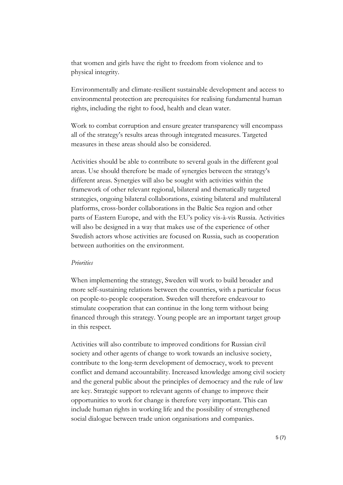that women and girls have the right to freedom from violence and to physical integrity.

Environmentally and climate-resilient sustainable development and access to environmental protection are prerequisites for realising fundamental human rights, including the right to food, health and clean water.

Work to combat corruption and ensure greater transparency will encompass all of the strategy's results areas through integrated measures. Targeted measures in these areas should also be considered.

Activities should be able to contribute to several goals in the different goal areas. Use should therefore be made of synergies between the strategy's different areas. Synergies will also be sought with activities within the framework of other relevant regional, bilateral and thematically targeted strategies, ongoing bilateral collaborations, existing bilateral and multilateral platforms, cross-border collaborations in the Baltic Sea region and other parts of Eastern Europe, and with the EU's policy vis-à-vis Russia. Activities will also be designed in a way that makes use of the experience of other Swedish actors whose activities are focused on Russia, such as cooperation between authorities on the environment.

### *Priorities*

When implementing the strategy, Sweden will work to build broader and more self-sustaining relations between the countries, with a particular focus on people-to-people cooperation. Sweden will therefore endeavour to stimulate cooperation that can continue in the long term without being financed through this strategy. Young people are an important target group in this respect.

Activities will also contribute to improved conditions for Russian civil society and other agents of change to work towards an inclusive society, contribute to the long-term development of democracy, work to prevent conflict and demand accountability. Increased knowledge among civil society and the general public about the principles of democracy and the rule of law are key. Strategic support to relevant agents of change to improve their opportunities to work for change is therefore very important. This can include human rights in working life and the possibility of strengthened social dialogue between trade union organisations and companies.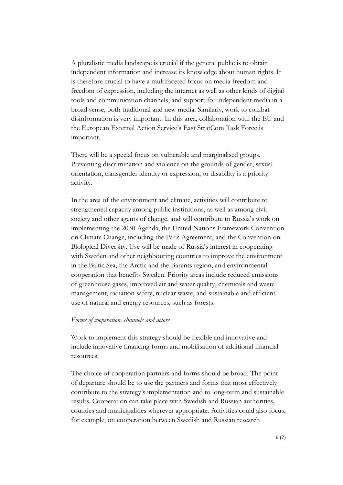A pluralistic media landscape is crucial if the general public is to obtain independent information and increase its knowledge about human rights. It is therefore crucial to have a multifaceted focus on media freedom and freedom of expression, including the internet as well as other kinds of digital tools and communication channels, and support for independent media in a broad sense, both traditional and new media. Similarly, work to combat disinformation is very important. In this area, collaboration with the EU and the European External Action Service's East StratCom Task Force is important.

There will be a special focus on vulnerable and marginalised groups. Preventing discrimination and violence on the grounds of gender, sexual orientation, transgender identity or expression, or disability is a priority activity.

In the area of the environment and climate, activities will contribute to strengthened capacity among public institutions, as well as among civil society and other agents of change, and will contribute to Russia's work on implementing the 2030 Agenda, the United Nations Framework Convention on Climate Change, including the Paris Agreement, and the Convention on Biological Diversity. Use will be made of Russia's interest in cooperating with Sweden and other neighbouring countries to improve the environment in the Baltic Sea, the Arctic and the Barents region, and environmental cooperation that benefits Sweden. Priority areas include reduced emissions of greenhouse gases, improved air and water quality, chemicals and waste management, radiation safety, nuclear waste, and sustainable and efficient use of natural and energy resources, such as forests.

#### *Forms of cooperation, channels and actors*

Work to implement this strategy should be flexible and innovative and include innovative financing forms and mobilisation of additional financial resources.

The choice of cooperation partners and forms should be broad. The point of departure should be to use the partners and forms that most effectively contribute to the strategy's implementation and to long-term and sustainable results. Cooperation can take place with Swedish and Russian authorities, counties and municipalities wherever appropriate. Activities could also focus, for example, on cooperation between Swedish and Russian research